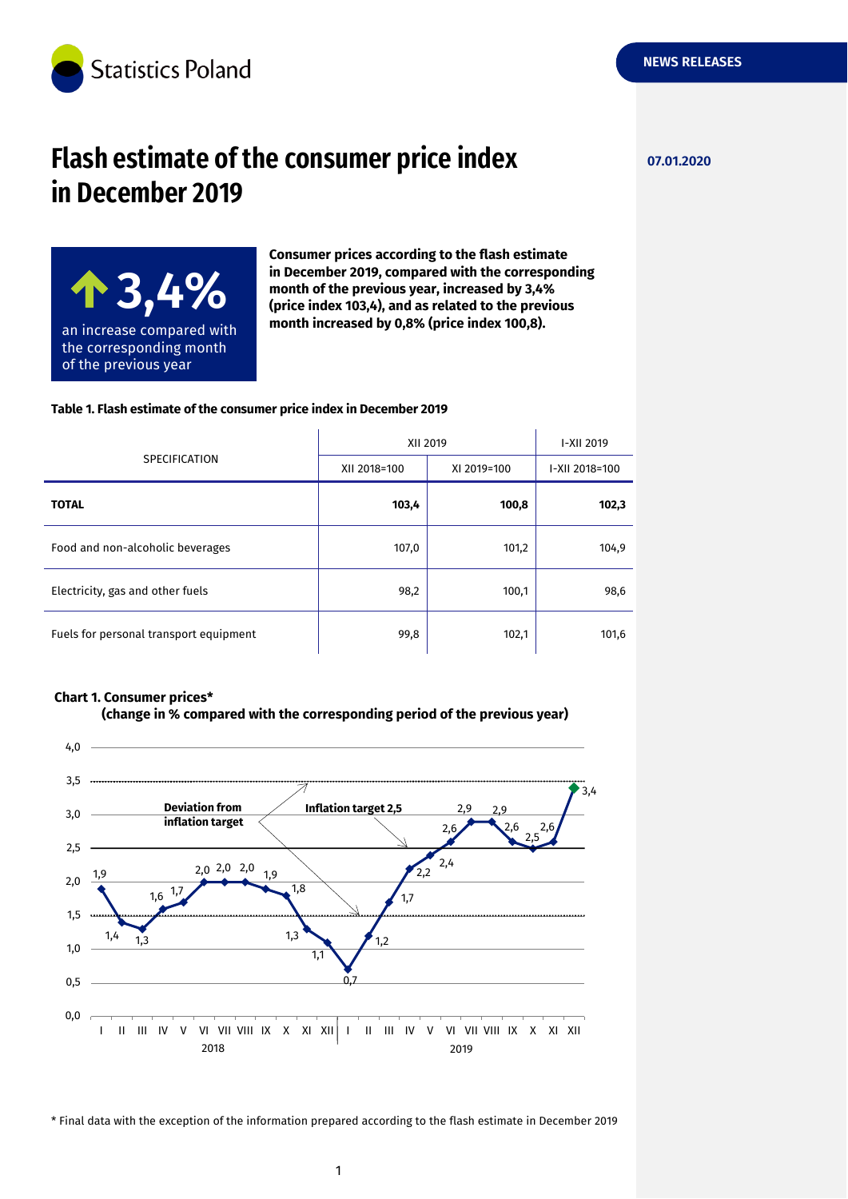

# **Flash estimate of the consumer price index 07.01.2020 in December 2019**

**NEWS RELEASES**



**Consumer prices according to the flash estimate in December 2019, compared with the corresponding month of the previous year, increased by 3,4% (price index 103,4), and as related to the previous month increased by 0,8% (price index 100,8).**

#### **Table 1. Flash estimate of the consumer price index in December 2019**

| <b>SPECIFICATION</b>                   | XII 2019     |             | I-XII 2019     |
|----------------------------------------|--------------|-------------|----------------|
|                                        | XII 2018=100 | XI 2019=100 | I-XII 2018=100 |
| <b>TOTAL</b>                           | 103,4        | 100,8       | 102,3          |
| Food and non-alcoholic beverages       | 107,0        | 101,2       | 104,9          |
| Electricity, gas and other fuels       | 98,2         | 100,1       | 98,6           |
| Fuels for personal transport equipment | 99,8         | 102,1       | 101,6          |

#### **Chart 1. Consumer prices\***





\* Final data with the exception of the information prepared according to the flash estimate in December 2019